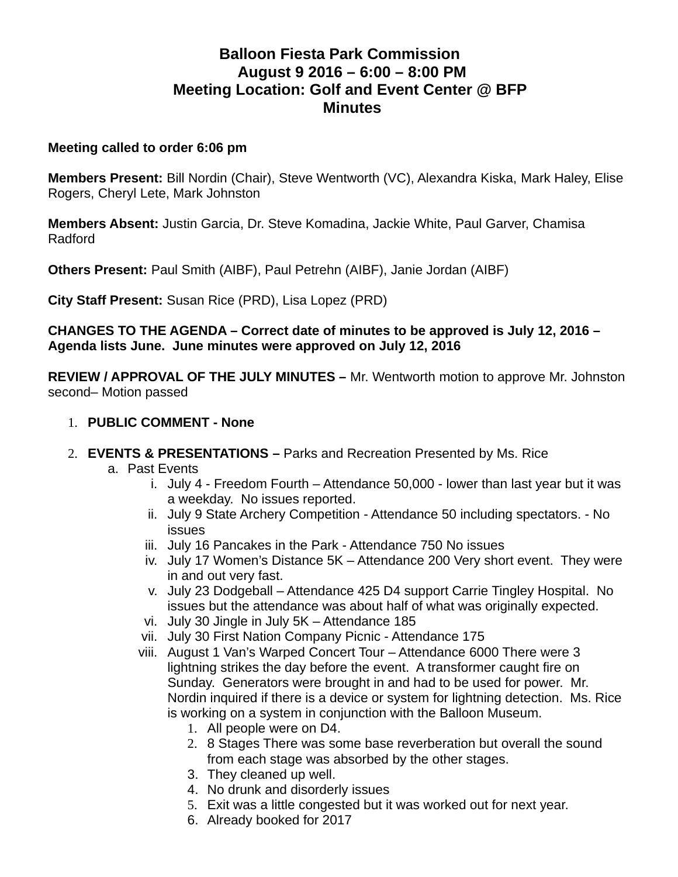# **Balloon Fiesta Park Commission August 9 2016 – 6:00 – 8:00 PM Meeting Location: Golf and Event Center @ BFP Minutes**

#### **Meeting called to order 6:06 pm**

**Members Present:** Bill Nordin (Chair), Steve Wentworth (VC), Alexandra Kiska, Mark Haley, Elise Rogers, Cheryl Lete, Mark Johnston

**Members Absent:** Justin Garcia, Dr. Steve Komadina, Jackie White, Paul Garver, Chamisa Radford

**Others Present:** Paul Smith (AIBF), Paul Petrehn (AIBF), Janie Jordan (AIBF)

**City Staff Present:** Susan Rice (PRD), Lisa Lopez (PRD)

**CHANGES TO THE AGENDA – Correct date of minutes to be approved is July 12, 2016 – Agenda lists June. June minutes were approved on July 12, 2016**

**REVIEW / APPROVAL OF THE JULY MINUTES –** Mr. Wentworth motion to approve Mr. Johnston second– Motion passed

- 1. **PUBLIC COMMENT None**
- 2. **EVENTS & PRESENTATIONS** Parks and Recreation Presented by Ms. Rice
	- a. Past Events
		- i. July 4 Freedom Fourth Attendance 50,000 lower than last year but it was a weekday. No issues reported.
		- ii. July 9 State Archery Competition Attendance 50 including spectators. No issues
		- iii. July 16 Pancakes in the Park Attendance 750 No issues
		- iv. July 17 Women's Distance 5K Attendance 200 Very short event. They were in and out very fast.
		- v. July 23 Dodgeball Attendance 425 D4 support Carrie Tingley Hospital. No issues but the attendance was about half of what was originally expected.
		- vi. July 30 Jingle in July 5K Attendance 185
		- vii. July 30 First Nation Company Picnic Attendance 175
		- viii. August 1 Van's Warped Concert Tour Attendance 6000 There were 3 lightning strikes the day before the event. A transformer caught fire on Sunday. Generators were brought in and had to be used for power. Mr. Nordin inquired if there is a device or system for lightning detection. Ms. Rice is working on a system in conjunction with the Balloon Museum.
			- 1. All people were on D4.
			- 2. 8 Stages There was some base reverberation but overall the sound from each stage was absorbed by the other stages.
			- 3. They cleaned up well.
			- 4. No drunk and disorderly issues
			- 5. Exit was a little congested but it was worked out for next year.
			- 6. Already booked for 2017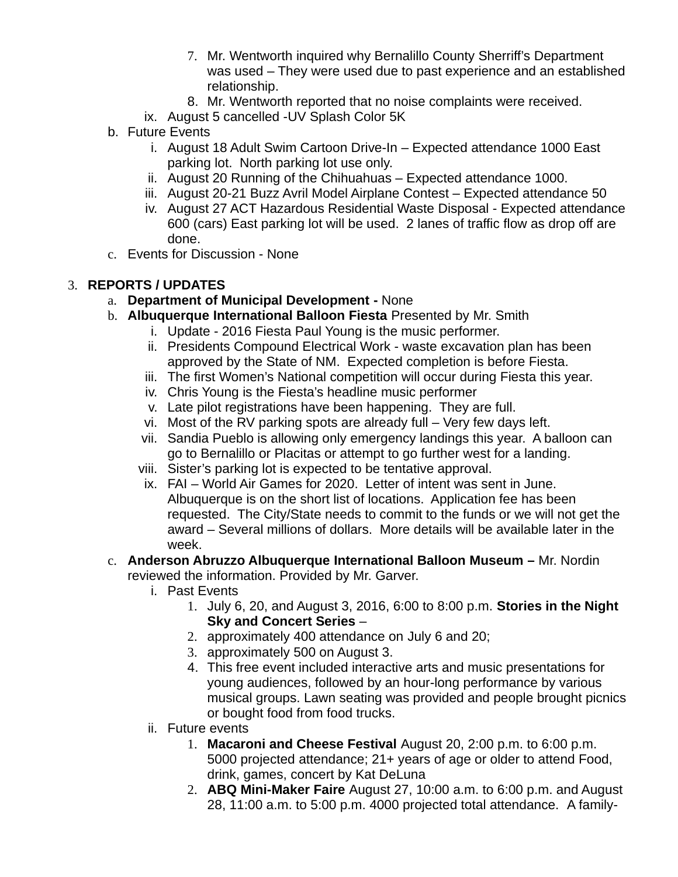- 7. Mr. Wentworth inquired why Bernalillo County Sherriff's Department was used – They were used due to past experience and an established relationship.
- 8. Mr. Wentworth reported that no noise complaints were received.
- ix. August 5 cancelled -UV Splash Color 5K
- b. Future Events
	- i. August 18 Adult Swim Cartoon Drive-In Expected attendance 1000 East parking lot. North parking lot use only.
	- ii. August 20 Running of the Chihuahuas Expected attendance 1000.
	- iii. August 20-21 Buzz Avril Model Airplane Contest Expected attendance 50
	- iv. August 27 ACT Hazardous Residential Waste Disposal Expected attendance 600 (cars) East parking lot will be used. 2 lanes of traffic flow as drop off are done.
- c. Events for Discussion None

# 3. **REPORTS / UPDATES**

- a. **Department of Municipal Development** None
- b. **Albuquerque International Balloon Fiesta** Presented by Mr. Smith
	- i. Update 2016 Fiesta Paul Young is the music performer.
	- ii. Presidents Compound Electrical Work waste excavation plan has been approved by the State of NM. Expected completion is before Fiesta.
	- iii. The first Women's National competition will occur during Fiesta this year.
	- iv. Chris Young is the Fiesta's headline music performer
	- v. Late pilot registrations have been happening. They are full.
	- vi. Most of the RV parking spots are already full Very few days left.
	- vii. Sandia Pueblo is allowing only emergency landings this year. A balloon can go to Bernalillo or Placitas or attempt to go further west for a landing.
	- viii. Sister's parking lot is expected to be tentative approval.
	- ix. FAI World Air Games for 2020. Letter of intent was sent in June. Albuquerque is on the short list of locations. Application fee has been requested. The City/State needs to commit to the funds or we will not get the award – Several millions of dollars. More details will be available later in the week.

### c. **Anderson Abruzzo Albuquerque International Balloon Museum –** Mr. Nordin reviewed the information. Provided by Mr. Garver.

- i. Past Events
	- 1. July 6, 20, and August 3, 2016, 6:00 to 8:00 p.m. **Stories in the Night Sky and Concert Series** –
	- 2. approximately 400 attendance on July 6 and 20;
	- 3. approximately 500 on August 3.
	- 4. This free event included interactive arts and music presentations for young audiences, followed by an hour-long performance by various musical groups. Lawn seating was provided and people brought picnics or bought food from food trucks.
- ii. Future events
	- 1. **Macaroni and Cheese Festival** August 20, 2:00 p.m. to 6:00 p.m. 5000 projected attendance; 21+ years of age or older to attend Food, drink, games, concert by Kat DeLuna
	- 2. **ABQ Mini-Maker Faire** August 27, 10:00 a.m. to 6:00 p.m. and August 28, 11:00 a.m. to 5:00 p.m. 4000 projected total attendance. A family-